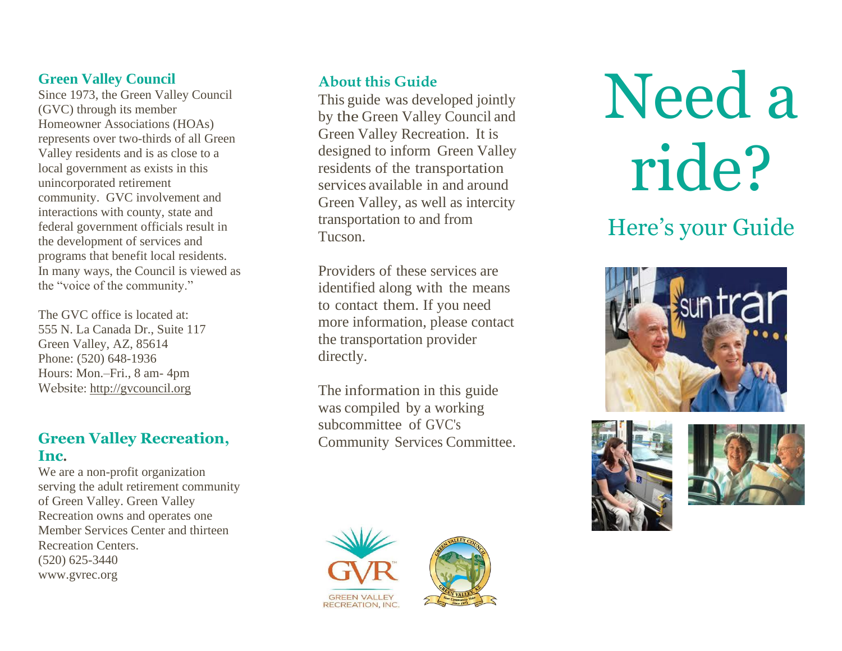#### **Green Valley Council**

Since 1973, the Green Valley Council (GVC) through its member Homeowner Associations (HOAs) represent s over two -thirds of all Green Valley residents and is as close to a local government as exists in this unincorporated retirement community. GVC involvement and interactions with county, state and federal government officials result in the development of services and programs that benefit local residents. In many ways, the Council is viewed as the "voice of the community."

The GVC office is located at: 555 N. La Canada Dr., Suite 117 Green Valley, AZ, 85614 Phone: (520) 648 -1936 Hours: Mon.-Fri., 8 am- 4pm Website: [http://gvcouncil.org](http://gvcouncil.org/)

#### **Green Valley Recreation, Inc .**

We are a non -profit organization serving the adult retirement community of Green Valley. Green Valley Recreation owns and operates one Member Services Center and thirteen Recreation Centers . (520) 625 -3440 [www.gvrec.org](http://www.gvrec.org/)

#### **About this Guide**

This guide was developed jointly by the Green Valley Council and Green Valley Recreation. It is designed to inform Green Valley residents of the transportation services available in and around Green Valley, as well as intercity transportation to and from Tucson.

Providers of these services are identified along with the means to contact them. If you need more information, please contact the transportation provider directly.

The information in this guide was compiled by a working subcommittee of GVC's Community Services Committee.





Need a ride?

# Here's your Guide